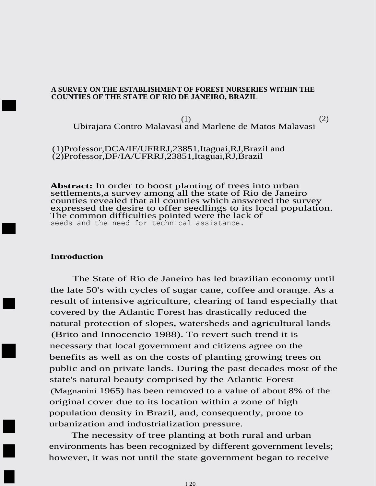### **A SURVEY ON THE ESTABLISHMENT OF FOREST NURSERIES WITHIN THE COUNTIES OF THE STATE OF RIO DE JANEIRO, BRAZIL**

(1)  $(2)$ Ubirajara Contro Malavasi and Marlene de Matos Malavasi

(1)Professor,DCA/IF/UFRRJ,23851,Itaguai,RJ,Brazil and (2)Professor,DF/IA/UFRRJ,23851,Itaguai,RJ,Brazil

**Abstract:** In order to boost planting of trees into urban settlements,a survey among all the state of Rio de Janeiro counties revealed that all counties which answered the survey expressed the desire to offer seedlings to its local population. The common difficulties pointed were the lack of seeds and the need for technical assistance.

# **Introduction**

■

■

■

■

■

■

■

The State of Rio de Janeiro has led brazilian economy until the late 50's with cycles of sugar cane, coffee and orange. As a result of intensive agriculture, clearing of land especially that covered by the Atlantic Forest has drastically reduced the natural protection of slopes, watersheds and agricultural lands (Brito and Innocencio 1988). To revert such trend it is necessary that local government and citizens agree on the benefits as well as on the costs of planting growing trees on public and on private lands. During the past decades most of the state's natural beauty comprised by the Atlantic Forest (Magnanini 1965) has been removed to a value of about 8% of the original cover due to its location within a zone of high population density in Brazil, and, consequently, prone to urbanization and industrialization pressure.

The necessity of tree planting at both rural and urban environments has been recognized by different government levels; however, it was not until the state government began to receive

<sup>1</sup> 20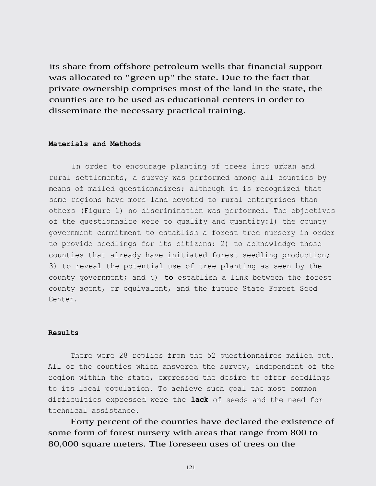its share from offshore petroleum wells that financial support was allocated to "green up" the state. Due to the fact that private ownership comprises most of the land in the state, the counties are to be used as educational centers in order to disseminate the necessary practical training.

#### **Materials and Methods**

In order to encourage planting of trees into urban and rural settlements, a survey was performed among all counties by means of mailed questionnaires; although it is recognized that some regions have more land devoted to rural enterprises than others (Figure 1) no discrimination was performed. The objectives of the questionnaire were to qualify and quantify:1) the county government commitment to establish a forest tree nursery in order to provide seedlings for its citizens; 2) to acknowledge those counties that already have initiated forest seedling production; 3) to reveal the potential use of tree planting as seen by the county government; and 4) **to** establish a link between the forest county agent, or equivalent, and the future State Forest Seed Center.

### **Results**

There were 28 replies from the 52 questionnaires mailed out. All of the counties which answered the survey, independent of the region within the state, expressed the desire to offer seedlings to its local population. To achieve such goal the most common difficulties expressed were the **lack** of seeds and the need for technical assistance.

Forty percent of the counties have declared the existence of some form of forest nursery with areas that range from 800 to 80,000 square meters. The foreseen uses of trees on the

121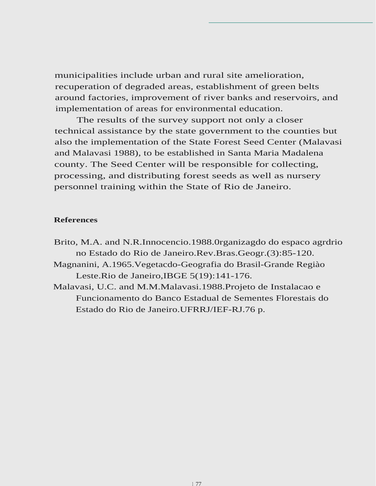municipalities include urban and rural site amelioration, recuperation of degraded areas, establishment of green belts around factories, improvement of river banks and reservoirs, and implementation of areas for environmental education.

The results of the survey support not only a closer technical assistance by the state government to the counties but also the implementation of the State Forest Seed Center (Malavasi and Malavasi 1988), to be established in Santa Maria Madalena county. The Seed Center will be responsible for collecting, processing, and distributing forest seeds as well as nursery personnel training within the State of Rio de Janeiro.

## **References**

- Brito, M.A. and N.R.Innocencio.1988.0rganizagdo do espaco agrdrio no Estado do Rio de Janeiro.Rev.Bras.Geogr.(3):85-120.
- Magnanini, A.1965.Vegetacdo-Geografia do Brasil-Grande Regiào Leste.Rio de Janeiro,IBGE 5(19):141-176.
- Malavasi, U.C. and M.M.Malavasi.1988.Projeto de Instalacao e Funcionamento do Banco Estadual de Sementes Florestais do Estado do Rio de Janeiro.UFRRJ/IEF-RJ.76 p.